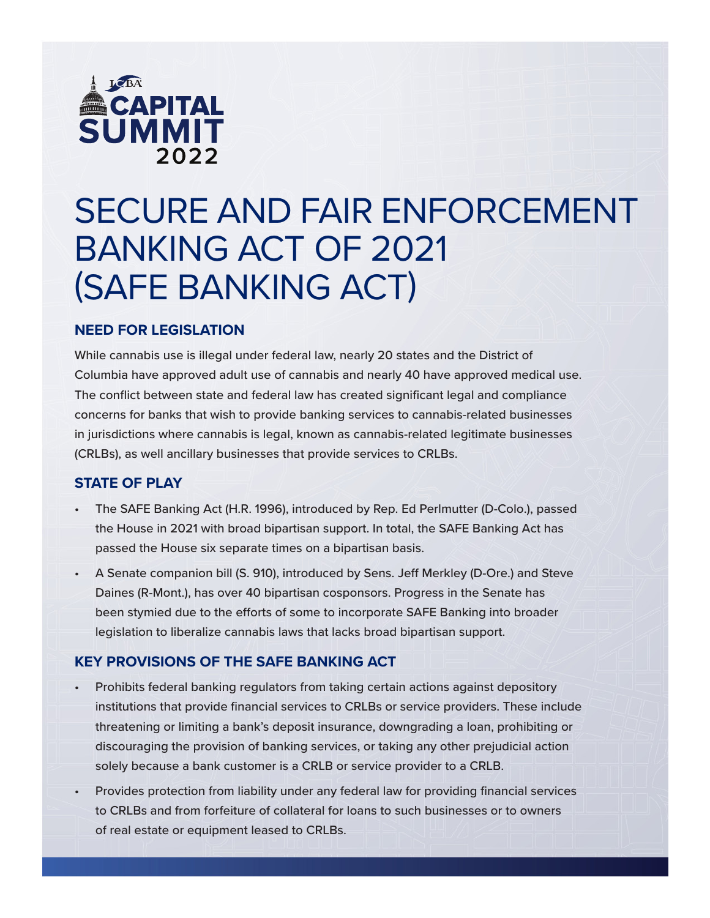

# SECURE AND FAIR ENFORCEMENT BANKING ACT OF 2021 (SAFE BANKING ACT)

## **NEED FOR LEGISLATION**

While cannabis use is illegal under federal law, nearly 20 states and the District of Columbia have approved adult use of cannabis and nearly 40 have approved medical use. The conflict between state and federal law has created significant legal and compliance concerns for banks that wish to provide banking services to cannabis-related businesses in jurisdictions where cannabis is legal, known as cannabis-related legitimate businesses (CRLBs), as well ancillary businesses that provide services to CRLBs.

#### **STATE OF PLAY**

- The SAFE Banking Act (H.R. 1996), introduced by Rep. Ed Perlmutter (D-Colo.), passed the House in 2021 with broad bipartisan support. In total, the SAFE Banking Act has passed the House six separate times on a bipartisan basis.
- A Senate companion bill (S. 910), introduced by Sens. Jeff Merkley (D-Ore.) and Steve Daines (R-Mont.), has over 40 bipartisan cosponsors. Progress in the Senate has been stymied due to the efforts of some to incorporate SAFE Banking into broader legislation to liberalize cannabis laws that lacks broad bipartisan support.

#### **KEY PROVISIONS OF THE SAFE BANKING ACT**

- Prohibits federal banking regulators from taking certain actions against depository institutions that provide financial services to CRLBs or service providers. These include threatening or limiting a bank's deposit insurance, downgrading a loan, prohibiting or discouraging the provision of banking services, or taking any other prejudicial action solely because a bank customer is a CRLB or service provider to a CRLB.
- Provides protection from liability under any federal law for providing financial services to CRLBs and from forfeiture of collateral for loans to such businesses or to owners of real estate or equipment leased to CRLBs.